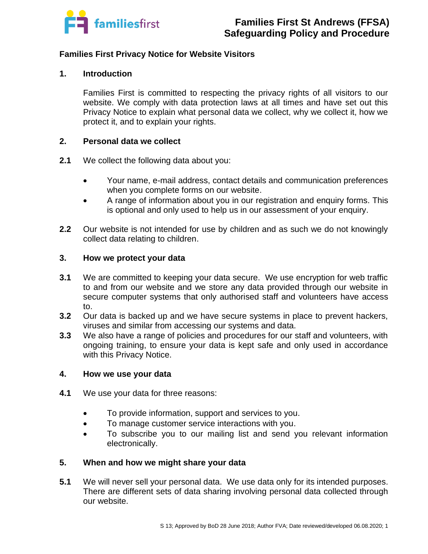

## **Families First Privacy Notice for Website Visitors**

### **1. Introduction**

Families First is committed to respecting the privacy rights of all visitors to our website. We comply with data protection laws at all times and have set out this Privacy Notice to explain what personal data we collect, why we collect it, how we protect it, and to explain your rights.

#### **2. Personal data we collect**

- **2.1** We collect the following data about you:
	- Your name, e-mail address, contact details and communication preferences when you complete forms on our website.
	- A range of information about you in our registration and enquiry forms. This is optional and only used to help us in our assessment of your enquiry.
- **2.2** Our website is not intended for use by children and as such we do not knowingly collect data relating to children.

## **3. How we protect your data**

- **3.1** We are committed to keeping your data secure. We use encryption for web traffic to and from our website and we store any data provided through our website in secure computer systems that only authorised staff and volunteers have access to.
- **3.2** Our data is backed up and we have secure systems in place to prevent hackers, viruses and similar from accessing our systems and data.
- **3.3** We also have a range of policies and procedures for our staff and volunteers, with ongoing training, to ensure your data is kept safe and only used in accordance with this Privacy Notice.

#### **4. How we use your data**

- **4.1** We use your data for three reasons:
	- To provide information, support and services to you.
	- To manage customer service interactions with you.
	- To subscribe you to our mailing list and send you relevant information electronically.

#### **5. When and how we might share your data**

**5.1** We will never sell your personal data. We use data only for its intended purposes. There are different sets of data sharing involving personal data collected through our website.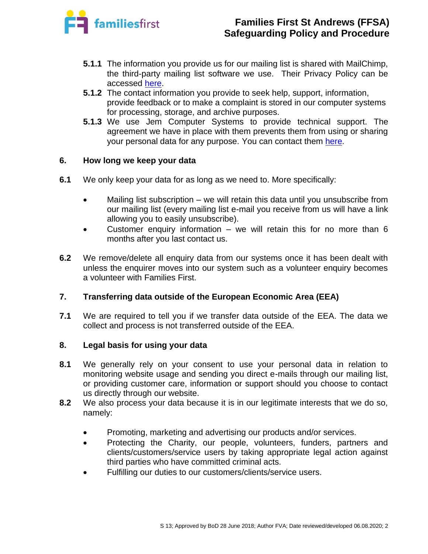

# **Families First St Andrews (FFSA) Safeguarding Policy and Procedure**

- **5.1.1** The information you provide us for our mailing list is shared with MailChimp, the third-party mailing list software we use. Their Privacy Policy can be accessed [here.](https://mailchimp.com/legal/privacy/?_ga=2.52737313.861113682.1527155825-1673722541.1527155825)
- **5.1.2** The contact information you provide to seek help, support, information, provide feedback or to make a complaint is stored in our computer systems for processing, storage, and archive purposes.
- **5.1.3** We use Jem Computer Systems to provide technical support. The agreement we have in place with them prevents them from using or sharing your personal data for any purpose. You can contact them [here.](http://jem-computers.com/)

# **6. How long we keep your data**

- **6.1** We only keep your data for as long as we need to. More specifically:
	- Mailing list subscription we will retain this data until you unsubscribe from our mailing list (every mailing list e-mail you receive from us will have a link allowing you to easily unsubscribe).
	- Customer enquiry information we will retain this for no more than  $6$ months after you last contact us.
- **6.2** We remove/delete all enquiry data from our systems once it has been dealt with unless the enquirer moves into our system such as a volunteer enquiry becomes a volunteer with Families First.

# **7. Transferring data outside of the European Economic Area (EEA)**

**7.1** We are required to tell you if we transfer data outside of the EEA. The data we collect and process is not transferred outside of the EEA.

#### **8. Legal basis for using your data**

- **8.1** We generally rely on your consent to use your personal data in relation to monitoring website usage and sending you direct e-mails through our mailing list, or providing customer care, information or support should you choose to contact us directly through our website.
- **8.2** We also process your data because it is in our legitimate interests that we do so, namely:
	- Promoting, marketing and advertising our products and/or services.
	- Protecting the Charity, our people, volunteers, funders, partners and clients/customers/service users by taking appropriate legal action against third parties who have committed criminal acts.
	- Fulfilling our duties to our customers/clients/service users.